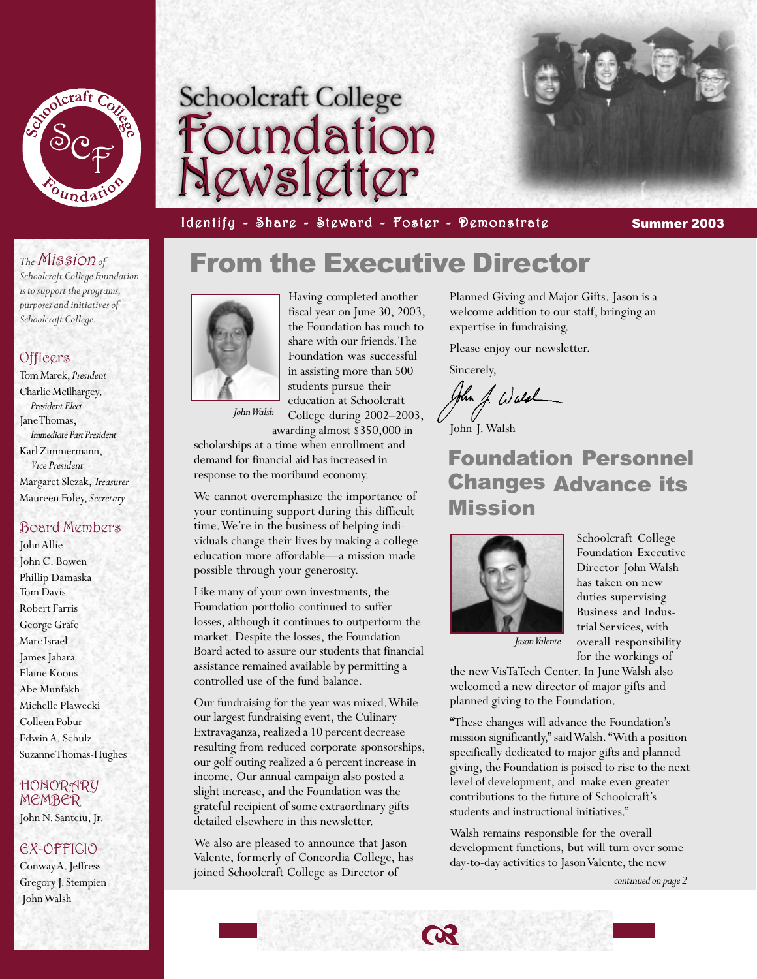

# Foundation Foundation Newsletter Newsletter

Identify - Share - Steward - Foster - Demonstrate **Summer 2003** 

From the Executive Director

#### *The* Mission *of*

*Schoolcraft College Foundation is to support the programs, purposes and initiatives of Schoolcraft College.*

#### **Officers**

Tom Marek, *President* Charlie McIlhargey*, President Elect* Jane Thomas, *Immediate Past President* Karl Zimmermann, *Vice President* Margaret Slezak, *Treasurer* Maureen Foley, *Secretary*

#### Board Members

John Allie John C. Bowen Phillip Damaska Tom Davis Robert Farris George Grafe Marc Israel James Jabara Elaine Koons Abe Munfakh Michelle Plawecki Colleen Pobur Edwin A. Schulz Suzanne Thomas-Hughes

#### HONORARY MEMBER

John N. Santeiu, Jr.

### EX-OFFICIO

Conway A. Jeffress Gregory J. Stempien John Walsh



Having completed another fiscal year on June 30, 2003, the Foundation has much to share with our friends. The Foundation was successful in assisting more than 500 students pursue their education at Schoolcraft College during 2002–2003,

awarding almost \$350,000 in

scholarships at a time when enrollment and demand for financial aid has increased in response to the moribund economy.

We cannot overemphasize the importance of your continuing support during this difficult time. We're in the business of helping individuals change their lives by making a college education more affordable—a mission made possible through your generosity.

Like many of your own investments, the Foundation portfolio continued to suffer losses, although it continues to outperform the market. Despite the losses, the Foundation Board acted to assure our students that financial assistance remained available by permitting a controlled use of the fund balance.

Our fundraising for the year was mixed. While our largest fundraising event, the Culinary Extravaganza, realized a 10 percent decrease resulting from reduced corporate sponsorships, our golf outing realized a 6 percent increase in income. Our annual campaign also posted a slight increase, and the Foundation was the grateful recipient of some extraordinary gifts detailed elsewhere in this newsletter.

We also are pleased to announce that Jason Valente, formerly of Concordia College, has joined Schoolcraft College as Director of

Planned Giving and Major Gifts. Jason is a welcome addition to our staff, bringing an expertise in fundraising.

Please enjoy our newsletter.

Sincerely,

Jun J. Wald

John J. Walsh

## Foundation Personnel Changes Advance its Mission



Schoolcraft College Foundation Executive Director John Walsh has taken on new duties supervising Business and Industrial Services, with overall responsibility for the workings of

*Jason Valente*

the new VisTaTech Center. In June Walsh also welcomed a new director of major gifts and planned giving to the Foundation.

"These changes will advance the Foundation's mission significantly," said Walsh. "With a position specifically dedicated to major gifts and planned giving, the Foundation is poised to rise to the next level of development, and make even greater contributions to the future of Schoolcraft's students and instructional initiatives."

Walsh remains responsible for the overall development functions, but will turn over some day-to-day activities to Jason Valente, the new

*continued on page 2*

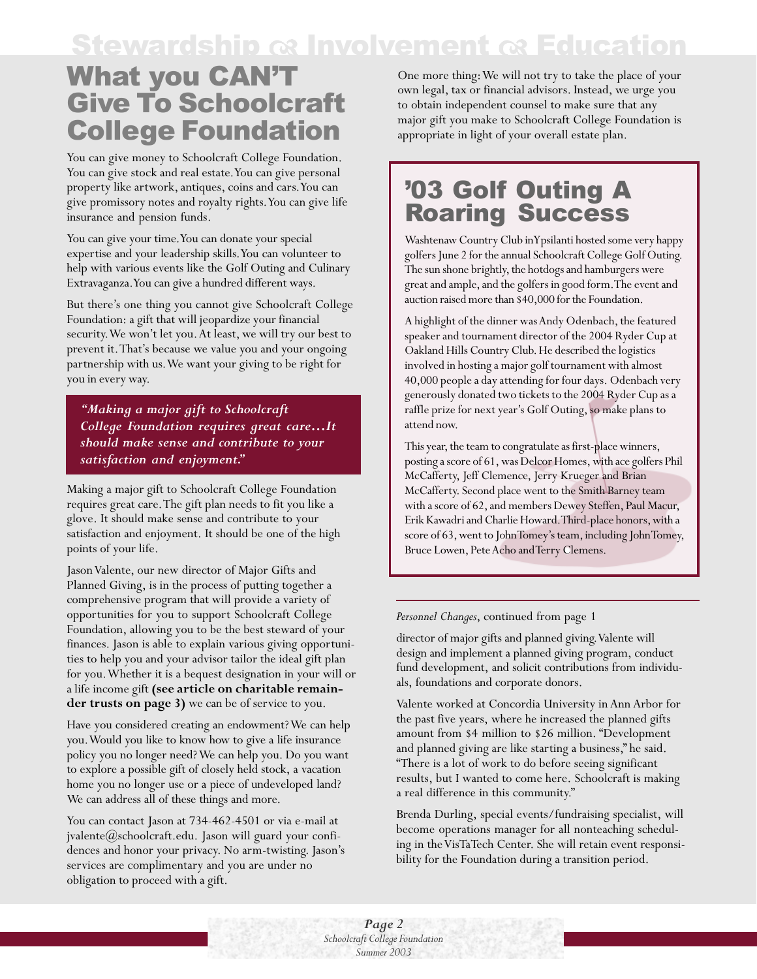# **Stewardship a Involvement a Education**

# What you CAN'T Give To Schoolcraft College Foundation

You can give money to Schoolcraft College Foundation. You can give stock and real estate. You can give personal property like artwork, antiques, coins and cars. You can give promissory notes and royalty rights. You can give life insurance and pension funds.

You can give your time. You can donate your special expertise and your leadership skills. You can volunteer to help with various events like the Golf Outing and Culinary Extravaganza. You can give a hundred different ways.

But there's one thing you cannot give Schoolcraft College Foundation: a gift that will jeopardize your financial security. We won't let you. At least, we will try our best to prevent it. That's because we value you and your ongoing partnership with us. We want your giving to be right for you in every way.

*"Making a major gift to Schoolcraft College Foundation requires great care…It should make sense and contribute to your satisfaction and enjoyment."*

Making a major gift to Schoolcraft College Foundation requires great care. The gift plan needs to fit you like a glove. It should make sense and contribute to your satisfaction and enjoyment. It should be one of the high points of your life.

Jason Valente, our new director of Major Gifts and Planned Giving, is in the process of putting together a comprehensive program that will provide a variety of opportunities for you to support Schoolcraft College Foundation, allowing you to be the best steward of your finances. Jason is able to explain various giving opportunities to help you and your advisor tailor the ideal gift plan for you. Whether it is a bequest designation in your will or a life income gift **(see article on charitable remainder trusts on page 3)** we can be of service to you.

Have you considered creating an endowment? We can help you. Would you like to know how to give a life insurance policy you no longer need? We can help you. Do you want to explore a possible gift of closely held stock, a vacation home you no longer use or a piece of undeveloped land? We can address all of these things and more.

You can contact Jason at 734-462-4501 or via e-mail at jvalente@schoolcraft.edu. Jason will guard your confidences and honor your privacy. No arm-twisting. Jason's services are complimentary and you are under no obligation to proceed with a gift.

One more thing: We will not try to take the place of your own legal, tax or financial advisors. Instead, we urge you to obtain independent counsel to make sure that any major gift you make to Schoolcraft College Foundation is appropriate in light of your overall estate plan.

# '03 Golf Outing A Roaring Success

Washtenaw Country Club in Ypsilanti hosted some very happy golfers June 2 for the annual Schoolcraft College Golf Outing. The sun shone brightly, the hotdogs and hamburgers were great and ample, and the golfers in good form. The event and auction raised more than \$40,000 for the Foundation.

A highlight of the dinner was Andy Odenbach, the featured speaker and tournament director of the 2004 Ryder Cup at Oakland Hills Country Club. He described the logistics involved in hosting a major golf tournament with almost 40,000 people a day attending for four days. Odenbach very generously donated two tickets to the 2004 Ryder Cup as a raffle prize for next year's Golf Outing, so make plans to attend now.

This year, the team to congratulate as first-place winners, posting a score of 61, was Delcor Homes, with ace golfers Phil McCafferty, Jeff Clemence, Jerry Krueger and Brian McCafferty. Second place went to the Smith Barney team with a score of 62, and members Dewey Steffen, Paul Macur, Erik Kawadri and Charlie Howard. Third-place honors, with a score of 63, went to John Tomey's team, including John Tomey, Bruce Lowen, Pete Acho and Terry Clemens.

#### *Personnel Changes*, continued from page 1

director of major gifts and planned giving. Valente will design and implement a planned giving program, conduct fund development, and solicit contributions from individuals, foundations and corporate donors.

Valente worked at Concordia University in Ann Arbor for the past five years, where he increased the planned gifts amount from \$4 million to \$26 million. "Development and planned giving are like starting a business," he said. "There is a lot of work to do before seeing significant results, but I wanted to come here. Schoolcraft is making a real difference in this community."

Brenda Durling, special events/fundraising specialist, will become operations manager for all nonteaching scheduling in the VisTaTech Center. She will retain event responsibility for the Foundation during a transition period.

*Page 2 Schoolcraft College Foundation Summer 2003*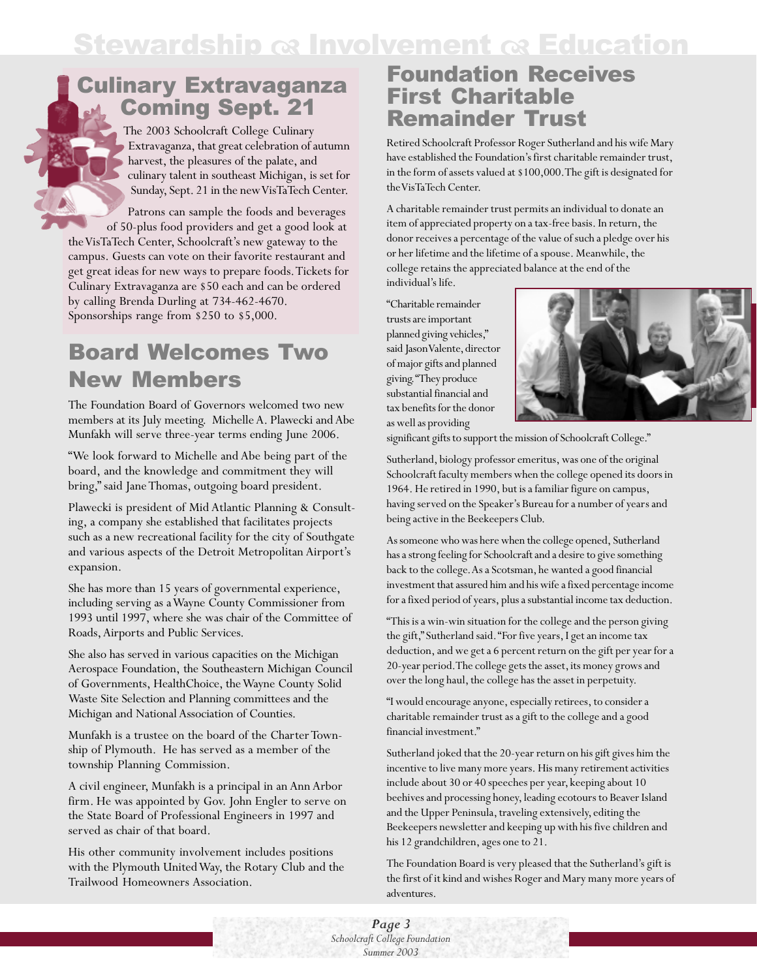# **Stewardship**  $\alpha$  **Involvement**  $\alpha$  **Education**

## Culinary Extravaganza Coming Sept. 21

The 2003 Schoolcraft College Culinary Extravaganza, that great celebration of autumn harvest, the pleasures of the palate, and culinary talent in southeast Michigan, is set for Sunday, Sept. 21 in the new VisTaTech Center.

Patrons can sample the foods and beverages of 50-plus food providers and get a good look at the VisTaTech Center, Schoolcraft's new gateway to the campus. Guests can vote on their favorite restaurant and get great ideas for new ways to prepare foods. Tickets for Culinary Extravaganza are \$50 each and can be ordered by calling Brenda Durling at 734-462-4670. Sponsorships range from \$250 to \$5,000.

# Board Welcomes Two New Members

The Foundation Board of Governors welcomed two new members at its July meeting. Michelle A. Plawecki and Abe Munfakh will serve three-year terms ending June 2006.

"We look forward to Michelle and Abe being part of the board, and the knowledge and commitment they will bring," said Jane Thomas, outgoing board president.

Plawecki is president of Mid Atlantic Planning & Consulting, a company she established that facilitates projects such as a new recreational facility for the city of Southgate and various aspects of the Detroit Metropolitan Airport's expansion.

She has more than 15 years of governmental experience, including serving as a Wayne County Commissioner from 1993 until 1997, where she was chair of the Committee of Roads, Airports and Public Services.

She also has served in various capacities on the Michigan Aerospace Foundation, the Southeastern Michigan Council of Governments, HealthChoice, the Wayne County Solid Waste Site Selection and Planning committees and the Michigan and National Association of Counties.

Munfakh is a trustee on the board of the Charter Township of Plymouth. He has served as a member of the township Planning Commission.

A civil engineer, Munfakh is a principal in an Ann Arbor firm. He was appointed by Gov. John Engler to serve on the State Board of Professional Engineers in 1997 and served as chair of that board.

His other community involvement includes positions with the Plymouth United Way, the Rotary Club and the Trailwood Homeowners Association.

## Foundation Receives First Charitable Remainder Trust

Retired Schoolcraft Professor Roger Sutherland and his wife Mary have established the Foundation's first charitable remainder trust, in the form of assets valued at \$100,000. The gift is designated for the VisTaTech Center.

A charitable remainder trust permits an individual to donate an item of appreciated property on a tax-free basis. In return, the donor receives a percentage of the value of such a pledge over his or her lifetime and the lifetime of a spouse. Meanwhile, the college retains the appreciated balance at the end of the individual's life.

"Charitable remainder trusts are important planned giving vehicles," said Jason Valente, director of major gifts and planned giving. "They produce substantial financial and tax benefits for the donor as well as providing



significant gifts to support the mission of Schoolcraft College."

Sutherland, biology professor emeritus, was one of the original Schoolcraft faculty members when the college opened its doors in 1964. He retired in 1990, but is a familiar figure on campus, having served on the Speaker's Bureau for a number of years and being active in the Beekeepers Club.

As someone who was here when the college opened, Sutherland has a strong feeling for Schoolcraft and a desire to give something back to the college. As a Scotsman, he wanted a good financial investment that assured him and his wife a fixed percentage income for a fixed period of years, plus a substantial income tax deduction.

"This is a win-win situation for the college and the person giving the gift," Sutherland said. "For five years, I get an income tax deduction, and we get a 6 percent return on the gift per year for a 20-year period. The college gets the asset, its money grows and over the long haul, the college has the asset in perpetuity.

"I would encourage anyone, especially retirees, to consider a charitable remainder trust as a gift to the college and a good financial investment."

Sutherland joked that the 20-year return on his gift gives him the incentive to live many more years. His many retirement activities include about 30 or 40 speeches per year, keeping about 10 beehives and processing honey, leading ecotours to Beaver Island and the Upper Peninsula, traveling extensively, editing the Beekeepers newsletter and keeping up with his five children and his 12 grandchildren, ages one to 21.

The Foundation Board is very pleased that the Sutherland's gift is the first of it kind and wishes Roger and Mary many more years of adventures.

*Page 3 Schoolcraft College Foundation Summer 2003*